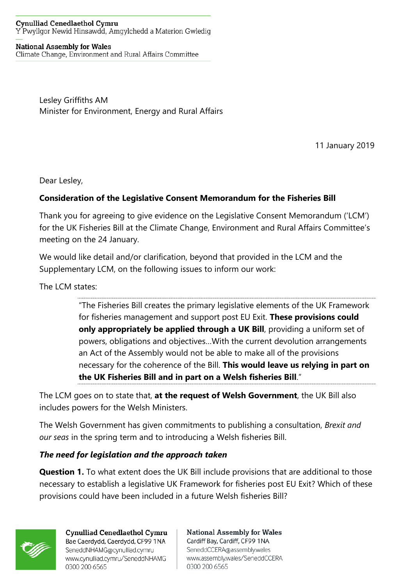#### **Cynulliad Cenedlaethol Cymru** Y Pwyllgor Newid Hinsawdd, Amgylchedd a Materion Gwledig

#### **National Assembly for Wales**

Climate Change, Environment and Rural Affairs Committee

Lesley Griffiths AM Minister for Environment, Energy and Rural Affairs

11 January 2019

Dear Lesley,

## **Consideration of the Legislative Consent Memorandum for the Fisheries Bill**

Thank you for agreeing to give evidence on the Legislative Consent Memorandum ('LCM') for the UK Fisheries Bill at the Climate Change, Environment and Rural Affairs Committee's meeting on the 24 January.

We would like detail and/or clarification, beyond that provided in the LCM and the Supplementary LCM, on the following issues to inform our work:

The LCM states:

"The Fisheries Bill creates the primary legislative elements of the UK Framework for fisheries management and support post EU Exit. **These provisions could only appropriately be applied through a UK Bill**, providing a uniform set of powers, obligations and objectives…With the current devolution arrangements an Act of the Assembly would not be able to make all of the provisions necessary for the coherence of the Bill. **This would leave us relying in part on the UK Fisheries Bill and in part on a Welsh fisheries Bill**."

The LCM goes on to state that, **at the request of Welsh Government**, the UK Bill also includes powers for the Welsh Ministers.

The Welsh Government has given commitments to publishing a consultation, *Brexit and our seas* in the spring term and to introducing a Welsh fisheries Bill.

### *The need for legislation and the approach taken*

**Question 1.** To what extent does the UK Bill include provisions that are additional to those necessary to establish a legislative UK Framework for fisheries post EU Exit? Which of these provisions could have been included in a future Welsh fisheries Bill?



**Cynulliad Cenedlaethol Cymru** Bae Caerdydd, Caerdydd, CF99 1NA SeneddNHAMG@cynulliad.cymru www.cynulliad.cymru/SeneddNHAMG 0300 200 6565

**National Assembly for Wales** Cardiff Bay, Cardiff, CF99 1NA SeneddCCERA@assembly.wales www.assembly.wales/SeneddCCERA 0300 200 6565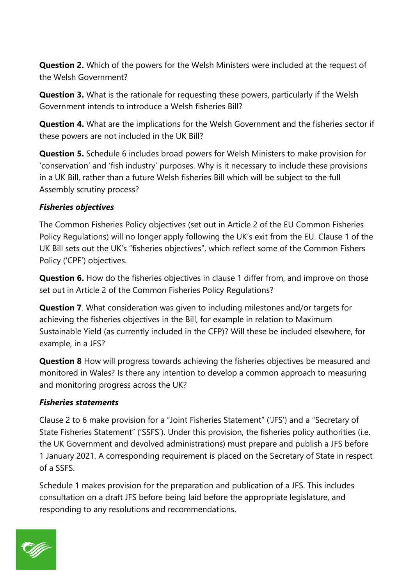**Question 2.** Which of the powers for the Welsh Ministers were included at the request of the Welsh Government?

**Question 3.** What is the rationale for requesting these powers, particularly if the Welsh Government intends to introduce a Welsh fisheries Bill?

**Question 4.** What are the implications for the Welsh Government and the fisheries sector if these powers are not included in the UK Bill?

**Question 5.** Schedule 6 includes broad powers for Welsh Ministers to make provision for 'conservation' and 'fish industry' purposes. Why is it necessary to include these provisions in a UK Bill, rather than a future Welsh fisheries Bill which will be subject to the full Assembly scrutiny process?

## *Fisheries objectives*

The Common Fisheries Policy objectives (set out in Article 2 of the EU Common Fisheries Policy Regulations) will no longer apply following the UK's exit from the EU. Clause 1 of the UK Bill sets out the UK's "fisheries objectives", which reflect some of the Common Fishers Policy ('CPF') objectives.

**Question 6.** How do the fisheries objectives in clause 1 differ from, and improve on those set out in Article 2 of the Common Fisheries Policy Regulations?

**Question 7**. What consideration was given to including milestones and/or targets for achieving the fisheries objectives in the Bill, for example in relation to Maximum Sustainable Yield (as currently included in the CFP)? Will these be included elsewhere, for example, in a JFS?

**Question 8** How will progress towards achieving the fisheries objectives be measured and monitored in Wales? Is there any intention to develop a common approach to measuring and monitoring progress across the UK?

### *Fisheries statements*

Clause 2 to 6 make provision for a "Joint Fisheries Statement" ('JFS') and a "Secretary of State Fisheries Statement" ('SSFS'). Under this provision, the fisheries policy authorities (i.e. the UK Government and devolved administrations) must prepare and publish a JFS before 1 January 2021. A corresponding requirement is placed on the Secretary of State in respect of a SSFS.

Schedule 1 makes provision for the preparation and publication of a JFS. This includes consultation on a draft JFS before being laid before the appropriate legislature, and responding to any resolutions and recommendations.

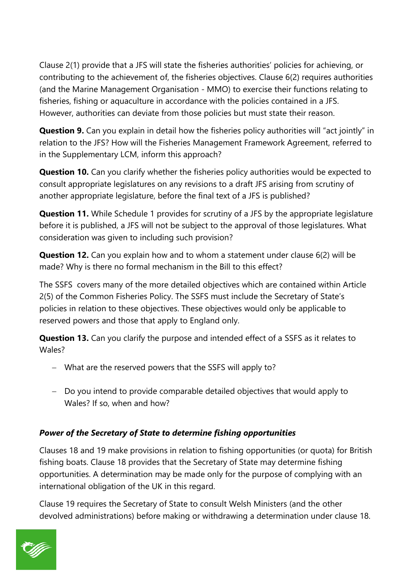Clause 2(1) provide that a JFS will state the fisheries authorities' policies for achieving, or contributing to the achievement of, the fisheries objectives. Clause 6(2) requires authorities (and the Marine Management Organisation - MMO) to exercise their functions relating to fisheries, fishing or aquaculture in accordance with the policies contained in a JFS. However, authorities can deviate from those policies but must state their reason.

**Question 9.** Can you explain in detail how the fisheries policy authorities will "act jointly" in relation to the JFS? How will the Fisheries Management Framework Agreement, referred to in the Supplementary LCM, inform this approach?

**Question 10.** Can you clarify whether the fisheries policy authorities would be expected to consult appropriate legislatures on any revisions to a draft JFS arising from scrutiny of another appropriate legislature, before the final text of a JFS is published?

**Question 11.** While Schedule 1 provides for scrutiny of a JFS by the appropriate legislature before it is published, a JFS will not be subject to the approval of those legislatures. What consideration was given to including such provision?

**Question 12.** Can you explain how and to whom a statement under clause 6(2) will be made? Why is there no formal mechanism in the Bill to this effect?

The SSFS covers many of the more detailed objectives which are contained within Article 2(5) of the Common Fisheries Policy. The SSFS must include the Secretary of State's policies in relation to these objectives. These objectives would only be applicable to reserved powers and those that apply to England only.

**Question 13.** Can you clarify the purpose and intended effect of a SSFS as it relates to Wales?

- − What are the reserved powers that the SSFS will apply to?
- − Do you intend to provide comparable detailed objectives that would apply to Wales? If so, when and how?

# *Power of the Secretary of State to determine fishing opportunities*

Clauses 18 and 19 make provisions in relation to fishing opportunities (or quota) for British fishing boats. Clause 18 provides that the Secretary of State may determine fishing opportunities. A determination may be made only for the purpose of complying with an international obligation of the UK in this regard.

Clause 19 requires the Secretary of State to consult Welsh Ministers (and the other devolved administrations) before making or withdrawing a determination under clause 18.

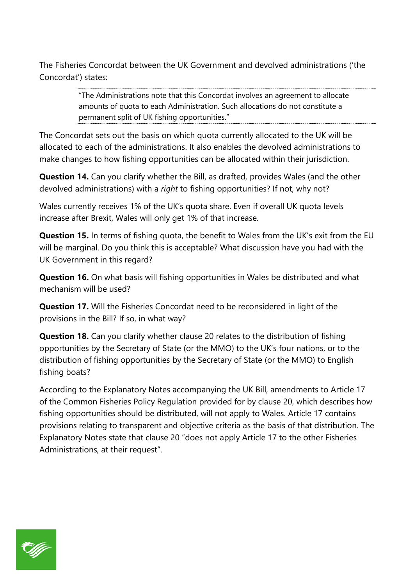The Fisheries Concordat between the UK Government and devolved administrations ('the Concordat') states:

> "The Administrations note that this Concordat involves an agreement to allocate amounts of quota to each Administration. Such allocations do not constitute a permanent split of UK fishing opportunities."

The Concordat sets out the basis on which quota currently allocated to the UK will be allocated to each of the administrations. It also enables the devolved administrations to make changes to how fishing opportunities can be allocated within their jurisdiction.

**Question 14.** Can you clarify whether the Bill, as drafted, provides Wales (and the other devolved administrations) with a *right* to fishing opportunities? If not, why not?

Wales currently receives 1% of the UK's quota share. Even if overall UK quota levels increase after Brexit, Wales will only get 1% of that increase.

**Question 15.** In terms of fishing quota, the benefit to Wales from the UK's exit from the EU will be marginal. Do you think this is acceptable? What discussion have you had with the UK Government in this regard?

**Question 16.** On what basis will fishing opportunities in Wales be distributed and what mechanism will be used?

**Question 17.** Will the Fisheries Concordat need to be reconsidered in light of the provisions in the Bill? If so, in what way?

**Question 18.** Can you clarify whether clause 20 relates to the distribution of fishing opportunities by the Secretary of State (or the MMO) to the UK's four nations, or to the distribution of fishing opportunities by the Secretary of State (or the MMO) to English fishing boats?

According to the Explanatory Notes accompanying the UK Bill, amendments to Article 17 of the Common Fisheries Policy Regulation provided for by clause 20, which describes how fishing opportunities should be distributed, will not apply to Wales. Article 17 contains provisions relating to transparent and objective criteria as the basis of that distribution. The Explanatory Notes state that clause 20 "does not apply Article 17 to the other Fisheries Administrations, at their request".